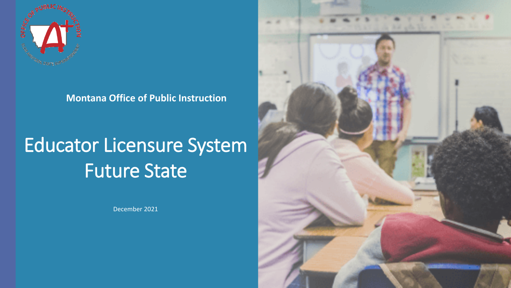

**Montana Office of Public Instruction** 

# Educator Licensure System Future State

December 2021

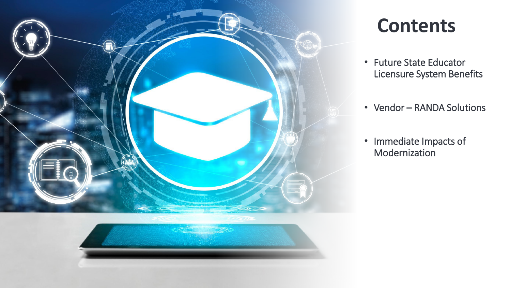

#### **Contents**

- Future State Educator Licensure System Benefits
- Vendor RANDA Solutions
- Immediate Impacts of Modernization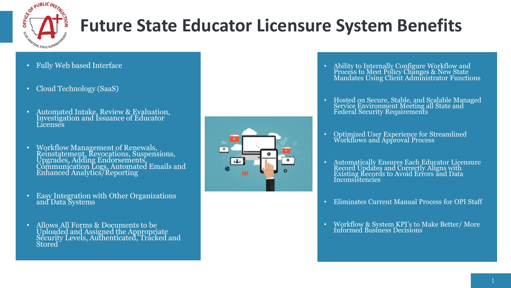

## **Future State Educator Licensure System Benefits**

- Fully Web based Interface
- Cloud Technology (SaaS)
- Automated Intake, Review & Evaluation, Investigation and Issuance of Educator **Licenses**
- Workflow Management of Renewals, Reinstatement, Revocations, Suspensions, Upgrades, Adding Endorsements, Communication Logs, Automated Emails and Enhanced Analytics/Reporting
- Easy Integration with Other Organizations and Data Systems
- Allows All Forms & Documents to be Uploaded and Assigned the Appropriate Security Levels, Authenticated, Tracked and Stored



- Ability to Internally Configure Workflow and Process to Meet Policy Changes & New State Mandates Using Client Administrator Functions
- Hosted on Secure, Stable, and Scalable Managed Service Environment Meeting all State and Federal Security Requirements
- Optimized User Experience for Streamlined Workflows and Approval Process
- Automatically Ensures Each Educator Licensure Record Updates and Correctly Aligns with Existing Records to Avoid Errors and Data **Inconsistencies**
- Eliminates Current Manual Process for OPI Staff
- Workflow & System KPI's to Make Better/ More Informed Business Decisions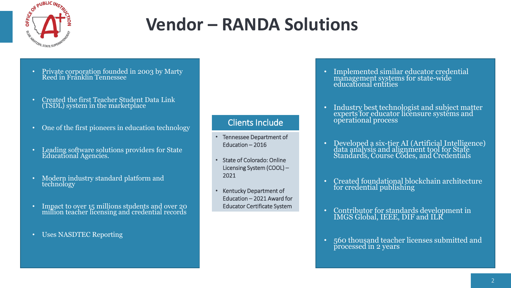

### **Vendor – RANDA Solutions**

- Private corporation founded in 2003 by Marty Reed in Franklin Tennessee
- Created the first Teacher Student Data Link (TSDL) system in the marketplace
- One of the first pioneers in education technology
- Leading software solutions providers for State Educational Agencies.
- Modern industry standard platform and technology
- Impact to over 15 millions students and over 20 million teacher licensing and credential records
- Uses NASDTEC Reporting

#### Clients Include

- Tennessee Department of Education – 2016
- State of Colorado: Online Licensing System (COOL) – 2021
- Kentucky Department of Education – 2021 Award for Educator Certificate System
- Implemented similar educator credential management systems for state-wide educational entities
- Industry best technologist and subject matter experts for educator licensure systems and operational process
- Developed a six-tier AI (Artificial Intelligence) data analysis and alignment tool for State Standards, Course Codes, and Credentials
- Created foundational blockchain architecture for credential publishing
- Contributor for standards development in IMGS Global, IEEE, DIF and ILR
- 560 thousand teacher licenses submitted and processed in 2 years